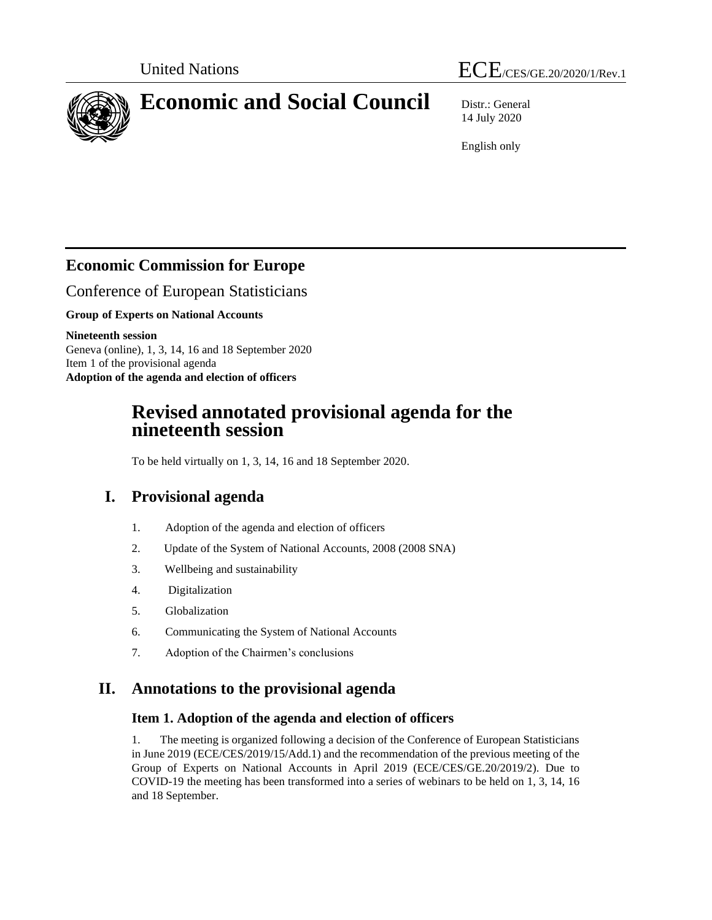# United Nations  $\text{ECE}_{/CES/GE.20/2020/1/Rev.1}$



# **Economic and Social Council** Distr.: General

14 July 2020

English only

# **Economic Commission for Europe**

Conference of European Statisticians

**Group of Experts on National Accounts**

**Nineteenth session** Geneva (online), 1, 3, 14, 16 and 18 September 2020 Item 1 of the provisional agenda **Adoption of the agenda and election of officers**

# **Revised annotated provisional agenda for the nineteenth session**

To be held virtually on 1, 3, 14, 16 and 18 September 2020.

# **I. Provisional agenda**

- 1. Adoption of the agenda and election of officers
- 2. Update of the System of National Accounts, 2008 (2008 SNA)
- 3. Wellbeing and sustainability
- 4. Digitalization
- 5. Globalization
- 6. Communicating the System of National Accounts
- 7. Adoption of the Chairmen's conclusions

# **II. Annotations to the provisional agenda**

# **Item 1. Adoption of the agenda and election of officers**

1. The meeting is organized following a decision of the Conference of European Statisticians in June 2019 (ECE/CES/2019/15/Add.1) and the recommendation of the previous meeting of the Group of Experts on National Accounts in April 2019 (ECE/CES/GE.20/2019/2). Due to COVID-19 the meeting has been transformed into a series of webinars to be held on 1, 3, 14, 16 and 18 September.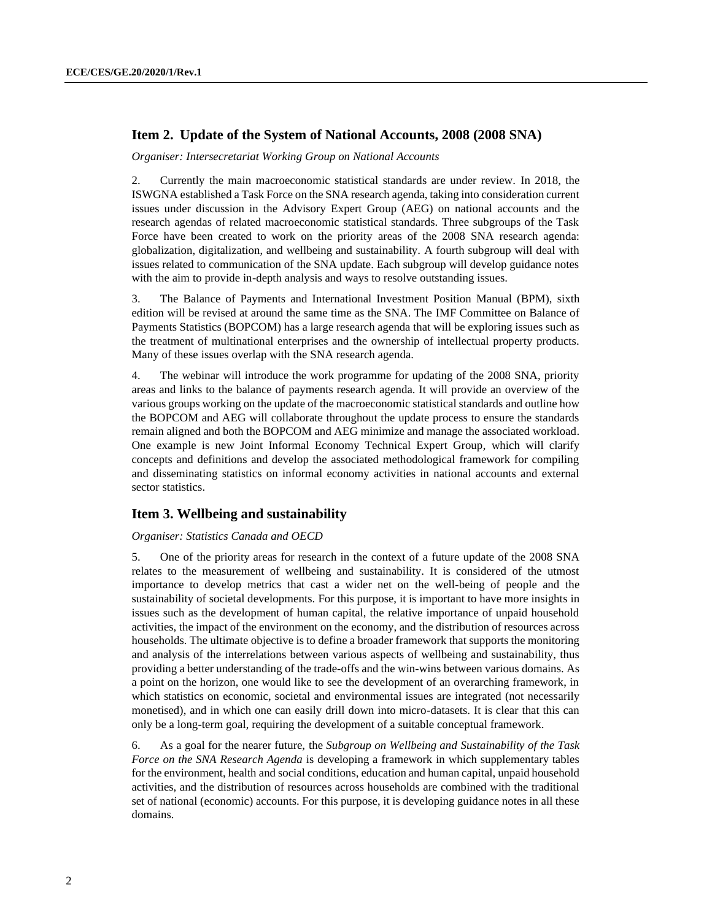## **Item 2. Update of the System of National Accounts, 2008 (2008 SNA)**

*Organiser: Intersecretariat Working Group on National Accounts*

2. Currently the main macroeconomic statistical standards are under review. In 2018, the ISWGNA established a Task Force on the SNA research agenda, taking into consideration current issues under discussion in the Advisory Expert Group (AEG) on national accounts and the research agendas of related macroeconomic statistical standards. Three subgroups of the Task Force have been created to work on the priority areas of the 2008 SNA research agenda: globalization, digitalization, and wellbeing and sustainability. A fourth subgroup will deal with issues related to communication of the SNA update. Each subgroup will develop guidance notes with the aim to provide in-depth analysis and ways to resolve outstanding issues.

3. The Balance of Payments and International Investment Position Manual (BPM), sixth edition will be revised at around the same time as the SNA. The IMF Committee on Balance of Payments Statistics (BOPCOM) has a large research agenda that will be exploring issues such as the treatment of multinational enterprises and the ownership of intellectual property products. Many of these issues overlap with the SNA research agenda.

4. The webinar will introduce the work programme for updating of the 2008 SNA, priority areas and links to the balance of payments research agenda. It will provide an overview of the various groups working on the update of the macroeconomic statistical standards and outline how the BOPCOM and AEG will collaborate throughout the update process to ensure the standards remain aligned and both the BOPCOM and AEG minimize and manage the associated workload. One example is new Joint Informal Economy Technical Expert Group, which will clarify concepts and definitions and develop the associated methodological framework for compiling and disseminating statistics on informal economy activities in national accounts and external sector statistics.

### **Item 3. Wellbeing and sustainability**

#### *Organiser: Statistics Canada and OECD*

5. One of the priority areas for research in the context of a future update of the 2008 SNA relates to the measurement of wellbeing and sustainability. It is considered of the utmost importance to develop metrics that cast a wider net on the well-being of people and the sustainability of societal developments. For this purpose, it is important to have more insights in issues such as the development of human capital, the relative importance of unpaid household activities, the impact of the environment on the economy, and the distribution of resources across households. The ultimate objective is to define a broader framework that supports the monitoring and analysis of the interrelations between various aspects of wellbeing and sustainability, thus providing a better understanding of the trade-offs and the win-wins between various domains. As a point on the horizon, one would like to see the development of an overarching framework, in which statistics on economic, societal and environmental issues are integrated (not necessarily monetised), and in which one can easily drill down into micro-datasets. It is clear that this can only be a long-term goal, requiring the development of a suitable conceptual framework.

6. As a goal for the nearer future, the *Subgroup on Wellbeing and Sustainability of the Task Force on the SNA Research Agenda* is developing a framework in which supplementary tables for the environment, health and social conditions, education and human capital, unpaid household activities, and the distribution of resources across households are combined with the traditional set of national (economic) accounts. For this purpose, it is developing guidance notes in all these domains.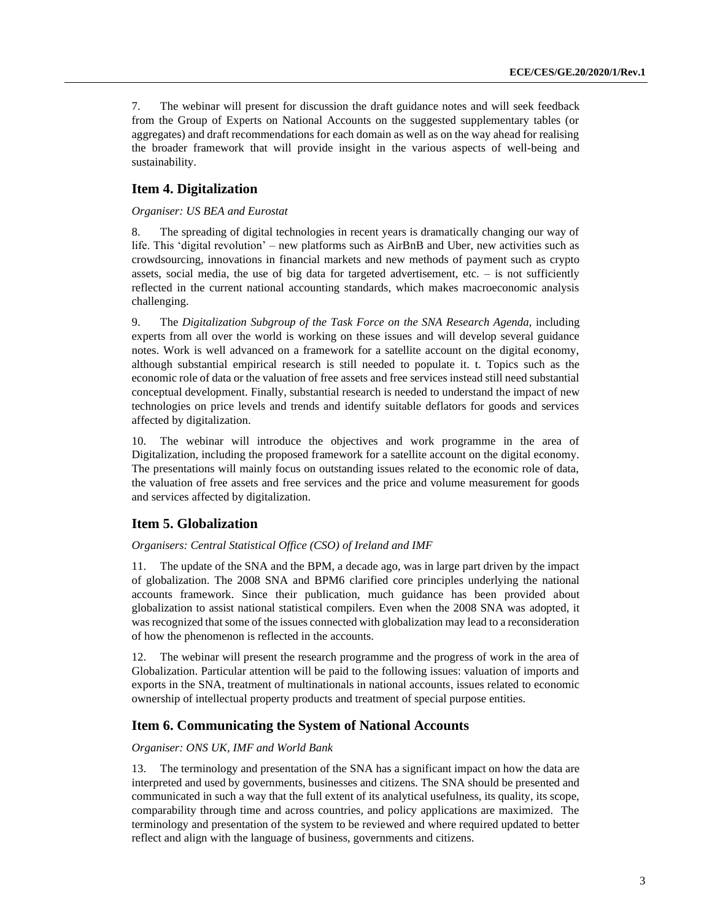7. The webinar will present for discussion the draft guidance notes and will seek feedback from the Group of Experts on National Accounts on the suggested supplementary tables (or aggregates) and draft recommendations for each domain as well as on the way ahead for realising the broader framework that will provide insight in the various aspects of well-being and sustainability.

## **Item 4. Digitalization**

#### *Organiser: US BEA and Eurostat*

8. The spreading of digital technologies in recent years is dramatically changing our way of life. This 'digital revolution' – new platforms such as AirBnB and Uber, new activities such as crowdsourcing, innovations in financial markets and new methods of payment such as crypto assets, social media, the use of big data for targeted advertisement, etc.  $-$  is not sufficiently reflected in the current national accounting standards, which makes macroeconomic analysis challenging.

9. The *Digitalization Subgroup of the Task Force on the SNA Research Agenda*, including experts from all over the world is working on these issues and will develop several guidance notes. Work is well advanced on a framework for a satellite account on the digital economy, although substantial empirical research is still needed to populate it. t. Topics such as the economic role of data or the valuation of free assets and free services instead still need substantial conceptual development. Finally, substantial research is needed to understand the impact of new technologies on price levels and trends and identify suitable deflators for goods and services affected by digitalization.

10. The webinar will introduce the objectives and work programme in the area of Digitalization, including the proposed framework for a satellite account on the digital economy. The presentations will mainly focus on outstanding issues related to the economic role of data, the valuation of free assets and free services and the price and volume measurement for goods and services affected by digitalization.

### **Item 5. Globalization**

#### *Organisers: Central Statistical Office (CSO) of Ireland and IMF*

11. The update of the SNA and the BPM, a decade ago, was in large part driven by the impact of globalization. The 2008 SNA and BPM6 clarified core principles underlying the national accounts framework. Since their publication, much guidance has been provided about globalization to assist national statistical compilers. Even when the 2008 SNA was adopted, it was recognized that some of the issues connected with globalization may lead to a reconsideration of how the phenomenon is reflected in the accounts.

12. The webinar will present the research programme and the progress of work in the area of Globalization. Particular attention will be paid to the following issues: valuation of imports and exports in the SNA, treatment of multinationals in national accounts, issues related to economic ownership of intellectual property products and treatment of special purpose entities.

### **Item 6. Communicating the System of National Accounts**

#### *Organiser: ONS UK, IMF and World Bank*

13. The terminology and presentation of the SNA has a significant impact on how the data are interpreted and used by governments, businesses and citizens. The SNA should be presented and communicated in such a way that the full extent of its analytical usefulness, its quality, its scope, comparability through time and across countries, and policy applications are maximized. The terminology and presentation of the system to be reviewed and where required updated to better reflect and align with the language of business, governments and citizens.